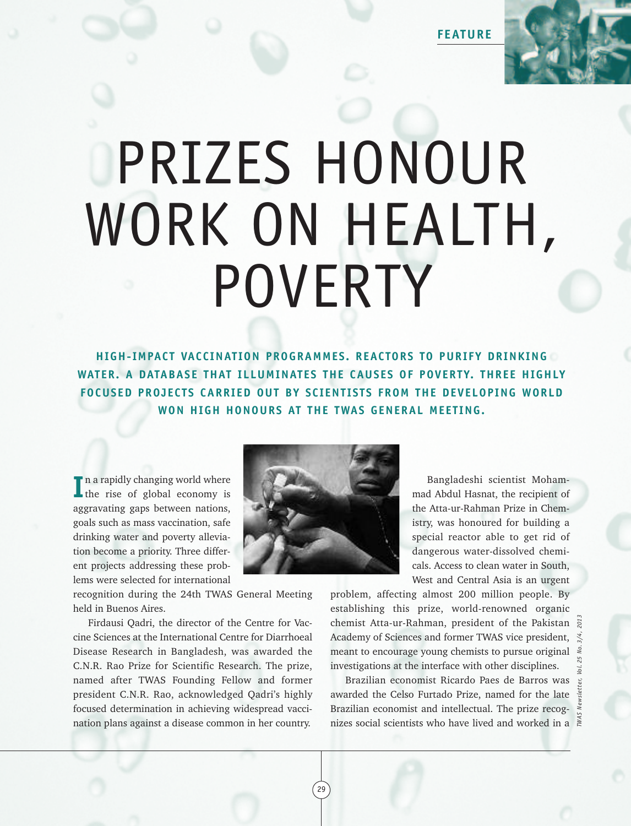**FEATURE**



## PRIZES HONOUR WORK ON HEALTH, POVERTY

**HIGH-IMPACT VACCINAT ION PROGRAMMES. REACTORS TO PURIFY DRINKING WATER. A DATABASE THAT ILLUMINATES THE CAUSES OF POVERTY. THREE HIGHLY FOCUSED PROJECTS CARRIED OUT BY SCIENT ISTS FROM THE DEVELOPING WORLD WON HIGH HONOURS AT THE TWAS GENERAL MEET ING.**

In a rapidly changing world where<br>
the rise of global economy is the rise of global economy is aggravating gaps between nations, goals such as mass vaccination, safe drinking water and poverty alleviation become a priority. Three different projects addressing these problems were selected for international

recognition during the 24th TWAS General Meeting held in Buenos Aires.

Firdausi Qadri, the director of the Centre for Vaccine Sciences at the International Centre for Diarrhoeal Disease Research in Bangladesh, was awarded the C.N.R. Rao Prize for Scientific Research. The prize, named after TWAS Founding Fellow and former president C.N.R. Rao, acknowledged Qadri's highly focused determination in achieving widespread vaccination plans against a disease common in her country.



29

Bangladeshi scientist Mohammad Abdul Hasnat, the recipient of the Atta-ur-Rahman Prize in Chemistry, was honoured for building a special reactor able to get rid of dangerous water-dissolved chemicals. Access to clean water in South, West and Central Asia is an urgent

problem, affecting almost 200 million people. By establishing this prize, world-renowned organic chemist Atta-ur-Rahman, president of the Pakistan Academy of Sciences and former TWAS vice president, meant to encourage young chemists to pursue original investigations at the interface with other disciplines. chemist Atta-ur-Rahman, president of the Pakistan  $\frac{1}{8}$ <br>Academy of Sciences and former TWAS vice president,  $\frac{1}{8}$ <br>meant to encourage young chemists to pursue original  $\frac{2}{8}$ <br>investigations at the interface with

Brazilian economist Ricardo Paes de Barros was awarded the Celso Furtado Prize, named for the late Brazilian economist and intellectual. The prize recog-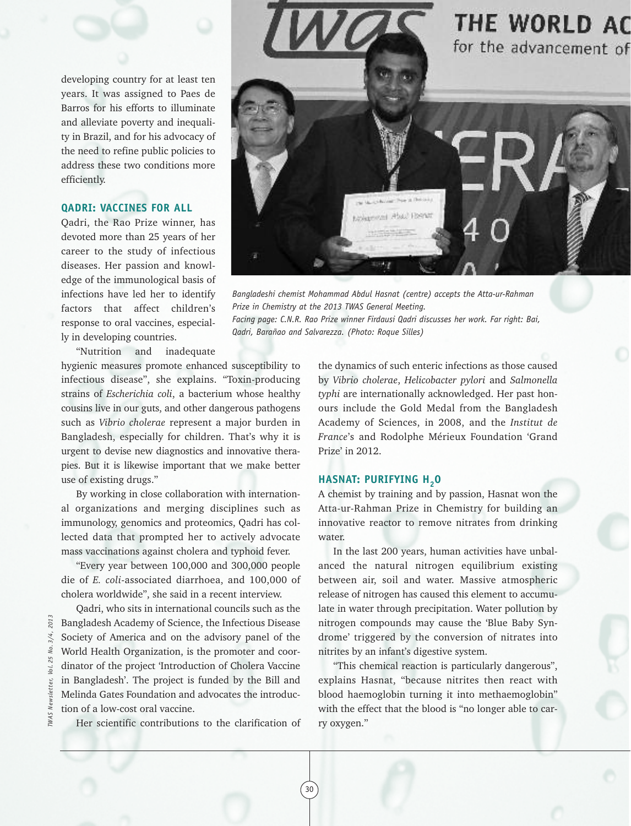developing country for at least ten years. It was assigned to Paes de Barros for his efforts to illuminate and alleviate poverty and inequality in Brazil, and for his advocacy of the need to refine public policies to address these two conditions more efficiently.

## **QADRI: VACCINES FOR ALL**

Qadri, the Rao Prize winner, has devoted more than 25 years of her career to the study of infectious diseases. Her passion and knowledge of the immunological basis of infections have led her to identify factors that affect children's response to oral vaccines, especially in developing countries.

"Nutrition and inadequate

hygienic measures promote enhanced susceptibility to infectious disease", she explains. "Toxin-producing strains of *Escherichia coli*, a bacterium whose healthy cousins live in our guts, and other dangerous pathogens such as *Vibrio cholerae* represent a major burden in Bangladesh, especially for children. That's why it is urgent to devise new diagnostics and innovative therapies. But it is likewise important that we make better use of existing drugs."

By working in close collaboration with international organizations and merging disciplines such as immunology, genomics and proteomics, Qadri has collected data that prompted her to actively advocate mass vaccinations against cholera and typhoid fever.

"Every year between 100,000 and 300,000 people die of *E. coli*-associated diarrhoea, and 100,000 of cholera worldwide", she said in a recent interview.

Qadri, who sits in international councils such as the Bangladesh Academy of Science, the Infectious Disease Society of America and on the advisory panel of the World Health Organization, is the promoter and coordinator of the project 'Introduction of Cholera Vaccine in Bangladesh'. The project is funded by the Bill and Melinda Gates Foundation and advocates the introduction of a low-cost oral vaccine.

Her scientific contributions to the clarification of



*Bangladeshi chemist Mohammad Abdul Hasnat (centre) accepts the Atta-ur-Rahman Prize in Chemistry at the 2013 TWAS General Meeting. Facing page: C.N.R. Rao Prize winner Firdausi Qadri discusses her work. Far right: Bai, Qadri, Barañao and Salvarezza. (Photo: Roque Silles)*

the dynamics of such enteric infections as those caused by *Vibrio cholerae*, *Helicobacter pylori* and *Salmonella typhi* are internationally acknowledged. Her past honours include the Gold Medal from the Bangladesh Academy of Sciences, in 2008, and the *Institut de France*'s and Rodolphe Mérieux Foundation 'Grand Prize' in 2012.

## **HASNAT: PURIFYING H<sub>2</sub>O**

30

A chemist by training and by passion, Hasnat won the Atta-ur-Rahman Prize in Chemistry for building an innovative reactor to remove nitrates from drinking water.

In the last 200 years, human activities have unbalanced the natural nitrogen equilibrium existing between air, soil and water. Massive atmospheric release of nitrogen has caused this element to accumulate in water through precipitation. Water pollution by nitrogen compounds may cause the 'Blue Baby Syndrome' triggered by the conversion of nitrates into nitrites by an infant's digestive system.

"This chemical reaction is particularly dangerous", explains Hasnat, "because nitrites then react with blood haemoglobin turning it into methaemoglobin" with the effect that the blood is "no longer able to carry oxygen."

*TWAS Newsletter, Vol. 25 No. 3/4, 2013* 201  $3/4,$ ζó. iol. **TWAS**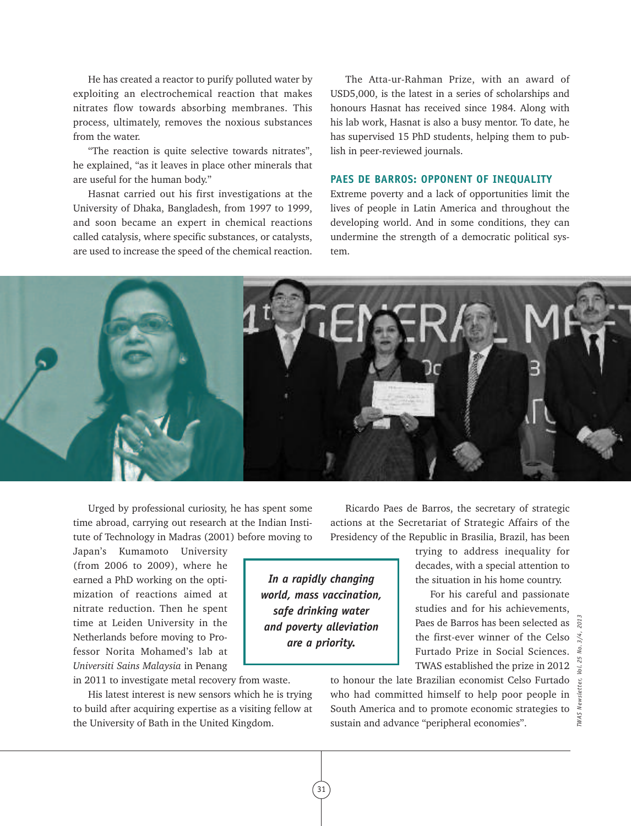He has created a reactor to purify polluted water by exploiting an electrochemical reaction that makes nitrates flow towards absorbing membranes. This process, ultimately, removes the noxious substances from the water.

"The reaction is quite selective towards nitrates", he explained, "as it leaves in place other minerals that are useful for the human body."

Hasnat carried out his first investigations at the University of Dhaka, Bangladesh, from 1997 to 1999, and soon became an expert in chemical reactions called catalysis, where specific substances, or catalysts, are used to increase the speed of the chemical reaction.

The Atta-ur-Rahman Prize, with an award of USD5,000, is the latest in a series of scholarships and honours Hasnat has received since 1984. Along with his lab work, Hasnat is also a busy mentor. To date, he has supervised 15 PhD students, helping them to publish in peer-reviewed journals.

## **PAES DE BARROS: OPPONENT OF INEQUALITY**

Extreme poverty and a lack of opportunities limit the lives of people in Latin America and throughout the developing world. And in some conditions, they can undermine the strength of a democratic political system.



Urged by professional curiosity, he has spent some time abroad, carrying out research at the Indian Institute of Technology in Madras (2001) before moving to

Japan's Kumamoto University (from 2006 to 2009), where he earned a PhD working on the optimization of reactions aimed at nitrate reduction. Then he spent time at Leiden University in the Netherlands before moving to Professor Norita Mohamed's lab at *Universiti Sains Malaysia* in Penang

in 2011 to investigate metal recovery from waste.

His latest interest is new sensors which he is trying to build after acquiring expertise as a visiting fellow at the University of Bath in the United Kingdom.

Ricardo Paes de Barros, the secretary of strategic actions at the Secretariat of Strategic Affairs of the Presidency of the Republic in Brasilia, Brazil, has been

*In a rapidly changing world, mass vaccination, safe drinking water and poverty alleviation are a priority.*

trying to address inequality for decades, with a special attention to the situation in his home country.

For his careful and passionate studies and for his achievements, Paes de Barros has been selected as the first-ever winner of the Celso Furtado Prize in Social Sciences. TWAS established the prize in 2012

to honour the late Brazilian economist Celso Furtado who had committed himself to help poor people in South America and to promote economic strategies to sustain and advance "peripheral economies".

*TWAS Newsletter, Vol. 25 No. 3/4, 2013* TWAS

31